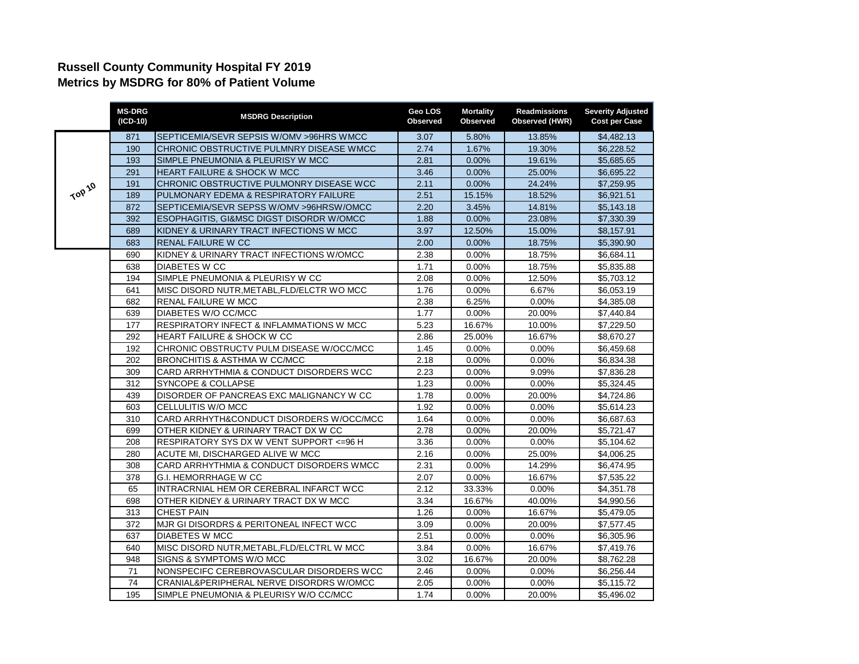## **Russell County Community Hospital FY 2019 Metrics by MSDRG for 80% of Patient Volume**

|        | <b>MS-DRG</b><br>(ICD-10) | <b>MSDRG Description</b>                            | Geo LOS<br>Observed | <b>Mortality</b><br>Observed | <b>Readmissions</b><br>Observed (HWR) | <b>Severity Adjusted</b><br><b>Cost per Case</b> |
|--------|---------------------------|-----------------------------------------------------|---------------------|------------------------------|---------------------------------------|--------------------------------------------------|
| TOP 10 | 871                       | SEPTICEMIA/SEVR SEPSIS W/OMV > 96HRS WMCC           | 3.07                | 5.80%                        | 13.85%                                | \$4,482.13                                       |
|        | 190                       | CHRONIC OBSTRUCTIVE PULMNRY DISEASE WMCC            | 2.74                | 1.67%                        | 19.30%                                | \$6,228.52                                       |
|        | 193                       | SIMPLE PNEUMONIA & PLEURISY W MCC                   | 2.81                | 0.00%                        | 19.61%                                | \$5,685.65                                       |
|        | 291                       | HEART FAILURE & SHOCK W MCC                         | 3.46                | 0.00%                        | 25.00%                                | \$6,695.22                                       |
|        | 191                       | CHRONIC OBSTRUCTIVE PULMONRY DISEASE WCC            | 2.11                | 0.00%                        | 24.24%                                | \$7,259.95                                       |
|        | 189                       | PULMONARY EDEMA & RESPIRATORY FAILURE               | 2.51                | 15.15%                       | 18.52%                                | \$6,921.51                                       |
|        | 872                       | SEPTICEMIA/SEVR SEPSS W/OMV >96HRSW/OMCC            | 2.20                | 3.45%                        | 14.81%                                | \$5,143.18                                       |
|        | 392                       | ESOPHAGITIS, GI&MSC DIGST DISORDR W/OMCC            | 1.88                | 0.00%                        | 23.08%                                | \$7,330.39                                       |
|        | 689                       | KIDNEY & URINARY TRACT INFECTIONS W MCC             | 3.97                | 12.50%                       | 15.00%                                | \$8,157.91                                       |
|        | 683                       | <b>RENAL FAILURE W CC</b>                           | 2.00                | 0.00%                        | 18.75%                                | \$5,390.90                                       |
|        | 690                       | KIDNEY & URINARY TRACT INFECTIONS W/OMCC            | 2.38                | 0.00%                        | 18.75%                                | \$6,684.11                                       |
|        | 638                       | <b>DIABETES W CC</b>                                | 1.71                | 0.00%                        | 18.75%                                | \$5,835.88                                       |
|        | 194                       | SIMPLE PNEUMONIA & PLEURISY W CC                    | 2.08                | 0.00%                        | 12.50%                                | \$5,703.12                                       |
|        | 641                       | MISC DISORD NUTR, METABL, FLD/ELCTR WO MCC          | 1.76                | $0.00\%$                     | 6.67%                                 | \$6,053.19                                       |
|        | 682                       | RENAL FAILURE W MCC                                 | 2.38                | 6.25%                        | 0.00%                                 | \$4,385.08                                       |
|        | 639                       | DIABETES W/O CC/MCC                                 | 1.77                | 0.00%                        | 20.00%                                | \$7,440.84                                       |
|        | 177                       | <b>RESPIRATORY INFECT &amp; INFLAMMATIONS W MCC</b> | 5.23                | 16.67%                       | 10.00%                                | $\overline{$}7,229.50$                           |
|        | 292                       | HEART FAILURE & SHOCK W CC                          | 2.86                | 25.00%                       | 16.67%                                | \$8,670.27                                       |
|        | 192                       | CHRONIC OBSTRUCTV PULM DISEASE W/OCC/MCC            | 1.45                | 0.00%                        | 0.00%                                 | \$6,459.68                                       |
|        | 202                       | <b>BRONCHITIS &amp; ASTHMA W CC/MCC</b>             | 2.18                | 0.00%                        | 0.00%                                 | \$6,834.38                                       |
|        | 309                       | CARD ARRHYTHMIA & CONDUCT DISORDERS WCC             | 2.23                | 0.00%                        | 9.09%                                 | \$7,836.28                                       |
|        | 312                       | SYNCOPE & COLLAPSE                                  | 1.23                | 0.00%                        | 0.00%                                 | \$5,324.45                                       |
|        | 439                       | DISORDER OF PANCREAS EXC MALIGNANCY W CC            | 1.78                | 0.00%                        | 20.00%                                | \$4,724.86                                       |
|        | 603                       | CELLULITIS W/O MCC                                  | 1.92                | 0.00%                        | 0.00%                                 | \$5,614.23                                       |
|        | 310                       | CARD ARRHYTH&CONDUCT DISORDERS W/OCC/MCC            | 1.64                | 0.00%                        | 0.00%                                 | \$6,687.63                                       |
|        | 699                       | OTHER KIDNEY & URINARY TRACT DX W CC                | 2.78                | 0.00%                        | 20.00%                                | \$5,721.47                                       |
|        | 208                       | RESPIRATORY SYS DX W VENT SUPPORT <= 96 H           | 3.36                | 0.00%                        | 0.00%                                 | \$5,104.62                                       |
|        | 280                       | ACUTE MI, DISCHARGED ALIVE W MCC                    | 2.16                | 0.00%                        | 25.00%                                | \$4,006.25                                       |
|        | 308                       | CARD ARRHYTHMIA & CONDUCT DISORDERS WMCC            | 2.31                | 0.00%                        | 14.29%                                | $\overline{$}6,474.95$                           |
|        | 378                       | <b>G.I. HEMORRHAGE W CC</b>                         | 2.07                | 0.00%                        | 16.67%                                | \$7,535.22                                       |
|        | 65                        | INTRACRNIAL HEM OR CEREBRAL INFARCT WCC             | 2.12                | 33.33%                       | 0.00%                                 | \$4,351.78                                       |
|        | 698                       | OTHER KIDNEY & URINARY TRACT DX W MCC               | 3.34                | 16.67%                       | 40.00%                                | \$4,990.56                                       |
|        | 313                       | <b>CHEST PAIN</b>                                   | 1.26                | 0.00%                        | 16.67%                                | \$5,479.05                                       |
|        | 372                       | MJR GI DISORDRS & PERITONEAL INFECT WCC             | 3.09                | $0.00\%$                     | 20.00%                                | \$7,577.45                                       |
|        | 637                       | <b>DIABETES W MCC</b>                               | 2.51                | 0.00%                        | 0.00%                                 | \$6,305.96                                       |
|        | 640                       | MISC DISORD NUTR, METABL, FLD/ELCTRL W MCC          | 3.84                | 0.00%                        | 16.67%                                | \$7,419.76                                       |
|        | 948                       | SIGNS & SYMPTOMS W/O MCC                            | 3.02                | 16.67%                       | 20.00%                                | \$8,762.28                                       |
|        | 71                        | NONSPECIFC CEREBROVASCULAR DISORDERS WCC            | 2.46                | 0.00%                        | 0.00%                                 | \$6,256.44                                       |
|        | 74                        | CRANIAL&PERIPHERAL NERVE DISORDRS W/OMCC            | 2.05                | 0.00%                        | 0.00%                                 | \$5,115.72                                       |
|        | 195                       | SIMPLE PNEUMONIA & PLEURISY W/O CC/MCC              | 1.74                | 0.00%                        | 20.00%                                | \$5,496.02                                       |